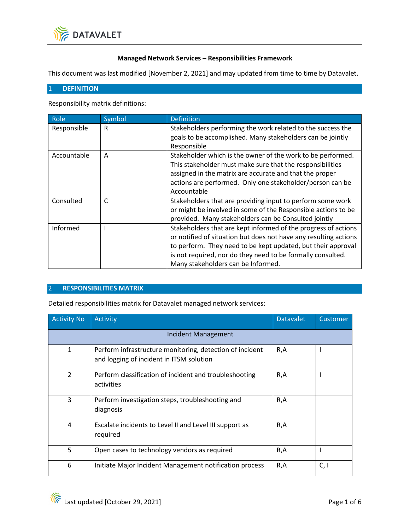

## **Managed Network Services – Responsibilities Framework**

This document was last modified [November 2, 2021] and may updated from time to time by Datavalet.

## 1 **DEFINITION**

Responsibility matrix definitions:

| Role        | Symbol | <b>Definition</b>                                                                                                                                                                                                                                                                                       |
|-------------|--------|---------------------------------------------------------------------------------------------------------------------------------------------------------------------------------------------------------------------------------------------------------------------------------------------------------|
| Responsible | R      | Stakeholders performing the work related to the success the<br>goals to be accomplished. Many stakeholders can be jointly<br>Responsible                                                                                                                                                                |
| Accountable | A      | Stakeholder which is the owner of the work to be performed.<br>This stakeholder must make sure that the responsibilities<br>assigned in the matrix are accurate and that the proper<br>actions are performed. Only one stakeholder/person can be<br>Accountable                                         |
| Consulted   | C      | Stakeholders that are providing input to perform some work<br>or might be involved in some of the Responsible actions to be<br>provided. Many stakeholders can be Consulted jointly                                                                                                                     |
| Informed    |        | Stakeholders that are kept informed of the progress of actions<br>or notified of situation but does not have any resulting actions<br>to perform. They need to be kept updated, but their approval<br>is not required, nor do they need to be formally consulted.<br>Many stakeholders can be Informed. |

## 2 **RESPONSIBILITIES MATRIX**

Detailed responsibilities matrix for Datavalet managed network services:

| <b>Activity No</b>         | Activity                                                                                             | <b>Datavalet</b> | Customer |
|----------------------------|------------------------------------------------------------------------------------------------------|------------------|----------|
| <b>Incident Management</b> |                                                                                                      |                  |          |
| 1                          | Perform infrastructure monitoring, detection of incident<br>and logging of incident in ITSM solution | R, A             |          |
| $\mathcal{P}$              | Perform classification of incident and troubleshooting<br>activities                                 | R,A              |          |
| 3                          | Perform investigation steps, troubleshooting and<br>diagnosis                                        | R,A              |          |
| 4                          | Escalate incidents to Level II and Level III support as<br>required                                  | R, A             |          |
| 5                          | Open cases to technology vendors as required                                                         | R,A              |          |
| 6                          | Initiate Major Incident Management notification process                                              | R,A              | C, I     |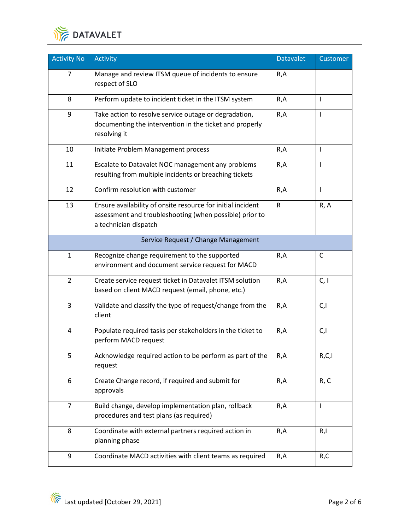

| <b>Activity No</b> | Activity                                                                                                                                        | <b>Datavalet</b> | Customer     |
|--------------------|-------------------------------------------------------------------------------------------------------------------------------------------------|------------------|--------------|
| 7                  | Manage and review ITSM queue of incidents to ensure<br>respect of SLO                                                                           | R,A              |              |
| 8                  | Perform update to incident ticket in the ITSM system                                                                                            | R,A              | T            |
| 9                  | Take action to resolve service outage or degradation,<br>documenting the intervention in the ticket and properly<br>resolving it                | R,A              | ı            |
| 10                 | Initiate Problem Management process                                                                                                             | R, A             | $\mathbf{I}$ |
| 11                 | Escalate to Datavalet NOC management any problems<br>resulting from multiple incidents or breaching tickets                                     | R, A             | I            |
| 12                 | Confirm resolution with customer                                                                                                                | R,A              | $\mathbf{I}$ |
| 13                 | Ensure availability of onsite resource for initial incident<br>assessment and troubleshooting (when possible) prior to<br>a technician dispatch | $\mathsf{R}$     | R, A         |
|                    | Service Request / Change Management                                                                                                             |                  |              |
| $\mathbf{1}$       | Recognize change requirement to the supported<br>environment and document service request for MACD                                              | R, A             | C            |
| $\overline{2}$     | Create service request ticket in Datavalet ITSM solution<br>based on client MACD request (email, phone, etc.)                                   | R, A             | C, I         |
| $\overline{3}$     | Validate and classify the type of request/change from the<br>client                                                                             | R, A             | C, I         |
| 4                  | Populate required tasks per stakeholders in the ticket to<br>perform MACD request                                                               | R, A             | C, I         |
| 5                  | Acknowledge required action to be perform as part of the<br>request                                                                             | R,A              | R,C,I        |
| 6                  | Create Change record, if required and submit for<br>approvals                                                                                   | R, A             | R, C         |
| $\overline{7}$     | Build change, develop implementation plan, rollback<br>procedures and test plans (as required)                                                  | R, A             | $\mathsf{I}$ |
| 8                  | Coordinate with external partners required action in<br>planning phase                                                                          | R, A             | R, I         |
| 9                  | Coordinate MACD activities with client teams as required                                                                                        | R,A              | R,C          |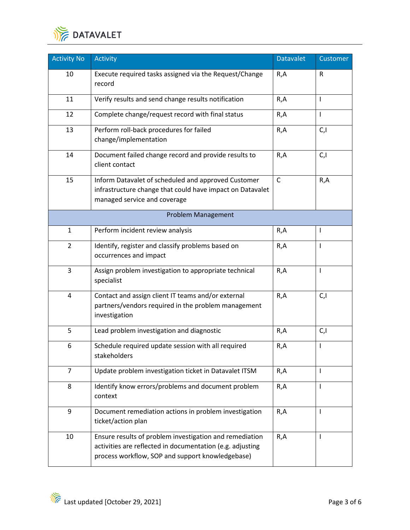

| <b>Activity No</b> | <b>Activity</b>                                                                                                                                                          | <b>Datavalet</b> | Customer       |
|--------------------|--------------------------------------------------------------------------------------------------------------------------------------------------------------------------|------------------|----------------|
| 10                 | Execute required tasks assigned via the Request/Change<br>record                                                                                                         | R,A              | R              |
| 11                 | Verify results and send change results notification                                                                                                                      | R,A              | T              |
| 12                 | Complete change/request record with final status                                                                                                                         | R,A              | T              |
| 13                 | Perform roll-back procedures for failed<br>change/implementation                                                                                                         | R,A              | C, I           |
| 14                 | Document failed change record and provide results to<br>client contact                                                                                                   | R, A             | C, I           |
| 15                 | Inform Datavalet of scheduled and approved Customer<br>infrastructure change that could have impact on Datavalet<br>managed service and coverage                         | $\mathsf{C}$     | R, A           |
|                    | Problem Management                                                                                                                                                       |                  |                |
| $\mathbf{1}$       | Perform incident review analysis                                                                                                                                         | R,A              | $\mathbf{I}$   |
| $\overline{2}$     | Identify, register and classify problems based on<br>occurrences and impact                                                                                              | R,A              | $\overline{1}$ |
| 3                  | Assign problem investigation to appropriate technical<br>specialist                                                                                                      | R,A              | T              |
| 4                  | Contact and assign client IT teams and/or external<br>partners/vendors required in the problem management<br>investigation                                               | R, A             | C, I           |
| 5                  | Lead problem investigation and diagnostic                                                                                                                                | R,A              | C, I           |
| 6                  | Schedule required update session with all required<br>stakeholders                                                                                                       | R,A              | T              |
| $\overline{7}$     | Update problem investigation ticket in Datavalet ITSM                                                                                                                    | R,A              | T              |
| 8                  | Identify know errors/problems and document problem<br>context                                                                                                            | R,A              | T              |
| 9                  | Document remediation actions in problem investigation<br>ticket/action plan                                                                                              | R,A              | T              |
| 10                 | Ensure results of problem investigation and remediation<br>activities are reflected in documentation (e.g. adjusting<br>process workflow, SOP and support knowledgebase) | R,A              | L              |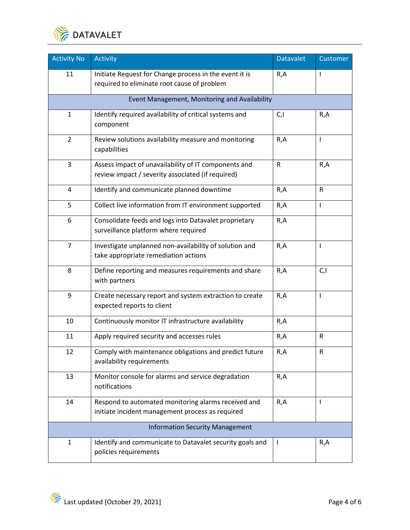

| <b>Activity No</b>                     | <b>Activity</b>                                                                                           | <b>Datavalet</b> | Customer    |  |
|----------------------------------------|-----------------------------------------------------------------------------------------------------------|------------------|-------------|--|
| 11                                     | Initiate Request for Change process in the event it is<br>required to eliminate root cause of problem     | R,A              | I           |  |
|                                        | Event Management, Monitoring and Availability                                                             |                  |             |  |
| $\mathbf{1}$                           | Identify required availability of critical systems and<br>component                                       | C,I              | R,A         |  |
| $\overline{2}$                         | Review solutions availability measure and monitoring<br>capabilities                                      | R, A             | T           |  |
| $\overline{3}$                         | Assess impact of unavailability of IT components and<br>review impact / severity associated (if required) | $\mathsf R$      | R, A        |  |
| $\overline{4}$                         | Identify and communicate planned downtime                                                                 | R, A             | $\mathsf R$ |  |
| 5                                      | Collect live information from IT environment supported                                                    | R,A              | I           |  |
| 6                                      | Consolidate feeds and logs into Datavalet proprietary<br>surveillance platform where required             | R,A              |             |  |
| $\overline{7}$                         | Investigate unplanned non-availability of solution and<br>take appropriate remediation actions            | R, A             | T           |  |
| 8                                      | Define reporting and measures requirements and share<br>with partners                                     | R, A             | C, I        |  |
| 9                                      | Create necessary report and system extraction to create<br>expected reports to client                     | R, A             | T           |  |
| 10                                     | Continuously monitor IT infrastructure availability                                                       | R,A              |             |  |
| 11                                     | Apply required security and accesses rules                                                                | R,A              | $\mathsf R$ |  |
| 12                                     | Comply with maintenance obligations and predict future<br>availability requirements                       | R,A              | R           |  |
| 13                                     | Monitor console for alarms and service degradation<br>notifications                                       | R,A              |             |  |
| 14                                     | Respond to automated monitoring alarms received and<br>initiate incident management process as required   | R,A              | I           |  |
| <b>Information Security Management</b> |                                                                                                           |                  |             |  |
| $\mathbf{1}$                           | Identify and communicate to Datavalet security goals and<br>policies requirements                         | $\mathbf{I}$     | R,A         |  |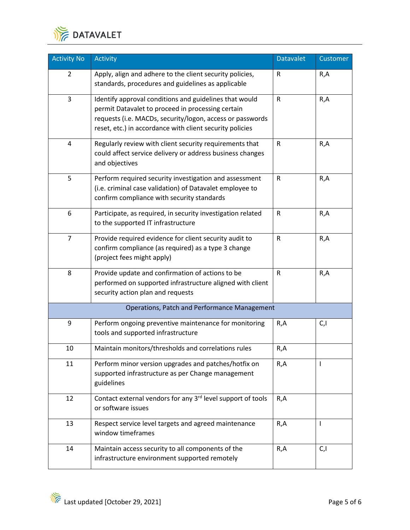

| <b>Activity No</b>      | <b>Activity</b>                                                                                                                                                                                                                      | <b>Datavalet</b> | Customer |
|-------------------------|--------------------------------------------------------------------------------------------------------------------------------------------------------------------------------------------------------------------------------------|------------------|----------|
| $\overline{2}$          | Apply, align and adhere to the client security policies,<br>standards, procedures and guidelines as applicable                                                                                                                       | $\mathsf R$      | R,A      |
| $\overline{3}$          | Identify approval conditions and guidelines that would<br>permit Datavalet to proceed in processing certain<br>requests (i.e. MACDs, security/logon, access or passwords<br>reset, etc.) in accordance with client security policies | ${\sf R}$        | R, A     |
| $\overline{\mathbf{4}}$ | Regularly review with client security requirements that<br>could affect service delivery or address business changes<br>and objectives                                                                                               | $\mathsf{R}$     | R, A     |
| 5                       | Perform required security investigation and assessment<br>(i.e. criminal case validation) of Datavalet employee to<br>confirm compliance with security standards                                                                     | $\mathsf R$      | R, A     |
| 6                       | Participate, as required, in security investigation related<br>to the supported IT infrastructure                                                                                                                                    | ${\sf R}$        | R, A     |
| $\overline{7}$          | Provide required evidence for client security audit to<br>confirm compliance (as required) as a type 3 change<br>(project fees might apply)                                                                                          | $\mathsf R$      | R,A      |
| 8                       | Provide update and confirmation of actions to be<br>performed on supported infrastructure aligned with client<br>security action plan and requests                                                                                   | $\mathsf{R}$     | R, A     |
|                         | <b>Operations, Patch and Performance Management</b>                                                                                                                                                                                  |                  |          |
| 9                       | Perform ongoing preventive maintenance for monitoring<br>tools and supported infrastructure                                                                                                                                          | R,A              | C, I     |
| 10                      | Maintain monitors/thresholds and correlations rules                                                                                                                                                                                  | R, A             |          |
| 11                      | Perform minor version upgrades and patches/hotfix on<br>supported infrastructure as per Change management<br>guidelines                                                                                                              | R, A             | T        |
| 12                      | Contact external vendors for any 3rd level support of tools<br>or software issues                                                                                                                                                    | R,A              |          |
| 13                      | Respect service level targets and agreed maintenance<br>window timeframes                                                                                                                                                            | R, A             | L        |
| 14                      | Maintain access security to all components of the<br>infrastructure environment supported remotely                                                                                                                                   | R, A             | C, I     |